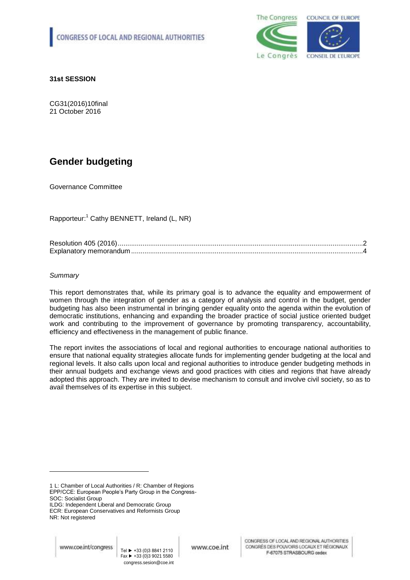

**31st SESSION**

CG31(2016)10final 21 October 2016

# **Gender budgeting**

Governance Committee

Rapporteur: <sup>1</sup> Cathy BENNETT, Ireland (L, NR)

# *Summary*

This report demonstrates that, while its primary goal is to advance the equality and empowerment of women through the integration of gender as a category of analysis and control in the budget, gender budgeting has also been instrumental in bringing gender equality onto the agenda within the evolution of democratic institutions, enhancing and expanding the broader practice of social justice oriented budget work and contributing to the improvement of governance by promoting transparency, accountability, efficiency and effectiveness in the management of public finance.

The report invites the associations of local and regional authorities to encourage national authorities to ensure that national equality strategies allocate funds for implementing gender budgeting at the local and regional levels. It also calls upon local and regional authorities to introduce gender budgeting methods in their annual budgets and exchange views and good practices with cities and regions that have already adopted this approach. They are invited to devise mechanism to consult and involve civil society, so as to avail themselves of its expertise in this subject.

-

<sup>1</sup> L: Chamber of Local Authorities / R: Chamber of Regions EPP/CCE: European People's Party Group in the Congress-SOC: Socialist Group

ILDG: Independent Liberal and Democratic Group

ECR: European Conservatives and Reformists Group NR: Not registered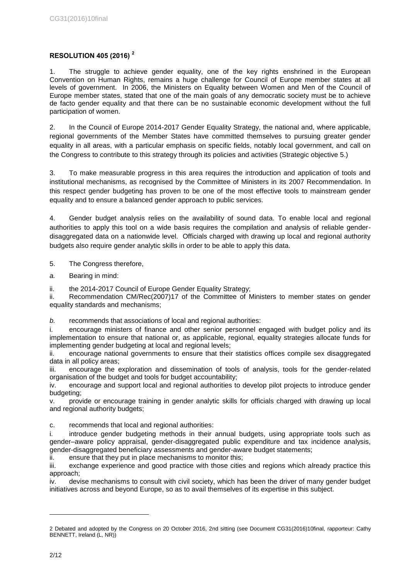# **RESOLUTION 405 (2016) <sup>2</sup>**

1. The struggle to achieve gender equality, one of the key rights enshrined in the European Convention on Human Rights, remains a huge challenge for Council of Europe member states at all levels of government. In 2006, the Ministers on Equality between Women and Men of the Council of Europe member states, stated that one of the main goals of any democratic society must be to achieve de facto gender equality and that there can be no sustainable economic development without the full participation of women.

2. In the Council of Europe 2014-2017 Gender Equality Strategy, the national and, where applicable, regional governments of the Member States have committed themselves to pursuing greater gender equality in all areas, with a particular emphasis on specific fields, notably local government, and call on the Congress to contribute to this strategy through its policies and activities (Strategic objective 5.)

3. To make measurable progress in this area requires the introduction and application of tools and institutional mechanisms, as recognised by the Committee of Ministers in its 2007 Recommendation. In this respect gender budgeting has proven to be one of the most effective tools to mainstream gender equality and to ensure a balanced gender approach to public services.

4. Gender budget analysis relies on the availability of sound data. To enable local and regional authorities to apply this tool on a wide basis requires the compilation and analysis of reliable genderdisaggregated data on a nationwide level. Officials charged with drawing up local and regional authority budgets also require gender analytic skills in order to be able to apply this data.

# 5. The Congress therefore,

*a.* Bearing in mind:

ii. the 2014-2017 Council of Europe Gender Equality Strategy;

ii. Recommendation CM/Rec(2007)17 of the Committee of Ministers to member states on gender equality standards and mechanisms;

*b.* recommends that associations of local and regional authorities:

i. encourage ministers of finance and other senior personnel engaged with budget policy and its implementation to ensure that national or, as applicable, regional, equality strategies allocate funds for implementing gender budgeting at local and regional levels;

ii. encourage national governments to ensure that their statistics offices compile sex disaggregated data in all policy areas;

iii. encourage the exploration and dissemination of tools of analysis, tools for the gender-related organisation of the budget and tools for budget accountability;

iv. encourage and support local and regional authorities to develop pilot projects to introduce gender budgeting;

v. provide or encourage training in gender analytic skills for officials charged with drawing up local and regional authority budgets;

c. recommends that local and regional authorities:

i. introduce gender budgeting methods in their annual budgets, using appropriate tools such as gender–aware policy appraisal, gender-disaggregated public expenditure and tax incidence analysis, gender-disaggregated beneficiary assessments and gender-aware budget statements;

ii. ensure that they put in place mechanisms to monitor this;

iii. exchange experience and good practice with those cities and regions which already practice this approach;

iv. devise mechanisms to consult with civil society, which has been the driver of many gender budget initiatives across and beyond Europe, so as to avail themselves of its expertise in this subject.

1

<sup>2</sup> Debated and adopted by the Congress on 20 October 2016, 2nd sitting (see Document CG31(2016)10final, rapporteur: Cathy BENNETT, Ireland (L, NR))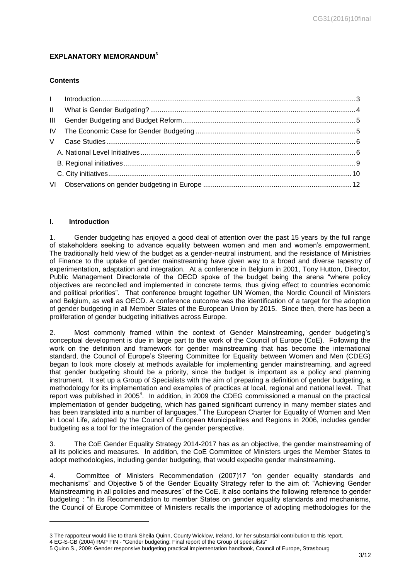# **EXPLANATORY MEMORANDUM<sup>3</sup>**

# **Contents**

| $\mathbf{III}$ |  |
|----------------|--|
|                |  |
|                |  |
|                |  |
|                |  |
|                |  |
|                |  |

# <span id="page-2-0"></span>**I. Introduction**

-

1. Gender budgeting has enjoyed a good deal of attention over the past 15 years by the full range of stakeholders seeking to advance equality between women and men and women's empowerment. The traditionally held view of the budget as a gender-neutral instrument, and the resistance of Ministries of Finance to the uptake of gender mainstreaming have given way to a broad and diverse tapestry of experimentation, adaptation and integration. At a conference in Belgium in 2001, Tony Hutton, Director, Public Management Directorate of the OECD spoke of the budget being the arena "where policy objectives are reconciled and implemented in concrete terms, thus giving effect to countries economic and political priorities". That conference brought together UN Women, the Nordic Council of Ministers and Belgium, as well as OECD. A conference outcome was the identification of a target for the adoption of gender budgeting in all Member States of the European Union by 2015. Since then, there has been a proliferation of gender budgeting initiatives across Europe.

2. Most commonly framed within the context of Gender Mainstreaming, gender budgeting's conceptual development is due in large part to the work of the Council of Europe (CoE). Following the work on the definition and framework for gender mainstreaming that has become the international standard, the Council of Europe's Steering Committee for Equality between Women and Men (CDEG) began to look more closely at methods available for implementing gender mainstreaming, and agreed that gender budgeting should be a priority, since the budget is important as a policy and planning instrument. It set up a Group of Specialists with the aim of preparing a definition of gender budgeting, a methodology for its implementation and examples of practices at local, regional and national level. That report was published in 2005<sup>4</sup>. In addition, in 2009 the CDEG commissioned a manual on the practical implementation of gender budgeting, which has gained significant currency in many member states and has been translated into a number of languages.<sup>5</sup> The European Charter for Equality of Women and Men in Local Life, adopted by the Council of European Municipalities and Regions in 2006, includes gender budgeting as a tool for the integration of the gender perspective.

3. The CoE Gender Equality Strategy 2014-2017 has as an objective, the gender mainstreaming of all its policies and measures. In addition, the CoE Committee of Ministers urges the Member States to adopt methodologies, including gender budgeting, that would expedite gender mainstreaming.

4. Committee of Ministers Recommendation (2007)17 "on gender equality standards and mechanisms" and Objective 5 of the Gender Equality Strategy refer to the aim of: "Achieving Gender Mainstreaming in all policies and measures" of the CoE. It also contains the following reference to gender budgeting : "In its Recommendation to member States on gender equality standards and mechanisms, the Council of Europe Committee of Ministers recalls the importance of adopting methodologies for the

<sup>3</sup> The rapporteur would like to thank Sheila Quinn, County Wicklow, Ireland, for her substantial contribution to this report.

<sup>4</sup> EG-S-GB (2004) RAP FIN - "Gender budgeting: Final report of the Group of specialists"

<sup>5</sup> Quinn S., 2009: Gender responsive budgeting practical implementation handbook, Council of Europe, Strasbourg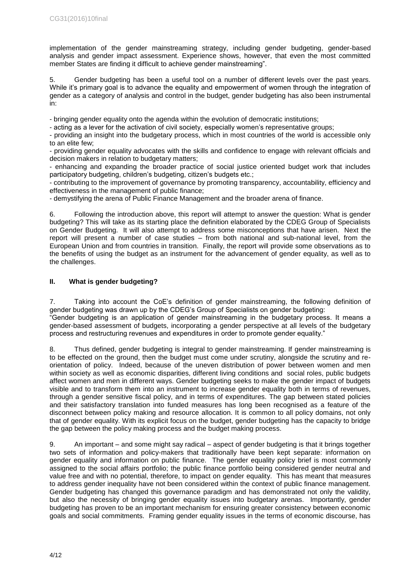implementation of the gender mainstreaming strategy, including gender budgeting, gender-based analysis and gender impact assessment. Experience shows, however, that even the most committed member States are finding it difficult to achieve gender mainstreaming".

5. Gender budgeting has been a useful tool on a number of different levels over the past years. While it's primary goal is to advance the equality and empowerment of women through the integration of gender as a category of analysis and control in the budget, gender budgeting has also been instrumental in:

- bringing gender equality onto the agenda within the evolution of democratic institutions;

- acting as a lever for the activation of civil society, especially women's representative groups:

- providing an insight into the budgetary process, which in most countries of the world is accessible only to an elite few;

- providing gender equality advocates with the skills and confidence to engage with relevant officials and decision makers in relation to budgetary matters;

- enhancing and expanding the broader practice of social justice oriented budget work that includes participatory budgeting, children's budgeting, citizen's budgets etc.;

- contributing to the improvement of governance by promoting transparency, accountability, efficiency and effectiveness in the management of public finance;

- demystifying the arena of Public Finance Management and the broader arena of finance.

6. Following the introduction above, this report will attempt to answer the question: What is gender budgeting? This will take as its starting place the definition elaborated by the CDEG Group of Specialists on Gender Budgeting. It will also attempt to address some misconceptions that have arisen. Next the report will present a number of case studies – from both national and sub-national level, from the European Union and from countries in transition. Finally, the report will provide some observations as to the benefits of using the budget as an instrument for the advancement of gender equality, as well as to the challenges.

# <span id="page-3-0"></span>**II. What is gender budgeting?**

7. Taking into account the CoE's definition of gender mainstreaming, the following definition of gender budgeting was drawn up by the CDEG's Group of Specialists on gender budgeting:

"Gender budgeting is an application of gender mainstreaming in the budgetary process. It means a gender-based assessment of budgets, incorporating a gender perspective at all levels of the budgetary process and restructuring revenues and expenditures in order to promote gender equality."

8. Thus defined, gender budgeting is integral to gender mainstreaming. If gender mainstreaming is to be effected on the ground, then the budget must come under scrutiny, alongside the scrutiny and reorientation of policy. Indeed, because of the uneven distribution of power between women and men within society as well as economic disparities, different living conditions and social roles, public budgets affect women and men in different ways. Gender budgeting seeks to make the gender impact of budgets visible and to transform them into an instrument to increase gender equality both in terms of revenues, through a gender sensitive fiscal policy, and in terms of expenditures. The gap between stated policies and their satisfactory translation into funded measures has long been recognised as a feature of the disconnect between policy making and resource allocation. It is common to all policy domains, not only that of gender equality. With its explicit focus on the budget, gender budgeting has the capacity to bridge the gap between the policy making process and the budget making process.

9. An important – and some might say radical – aspect of gender budgeting is that it brings together two sets of information and policy-makers that traditionally have been kept separate: information on gender equality and information on public finance. The gender equality policy brief is most commonly assigned to the social affairs portfolio; the public finance portfolio being considered gender neutral and value free and with no potential, therefore, to impact on gender equality. This has meant that measures to address gender inequality have not been considered within the context of public finance management. Gender budgeting has changed this governance paradigm and has demonstrated not only the validity, but also the necessity of bringing gender equality issues into budgetary arenas. Importantly, gender budgeting has proven to be an important mechanism for ensuring greater consistency between economic goals and social commitments. Framing gender equality issues in the terms of economic discourse, has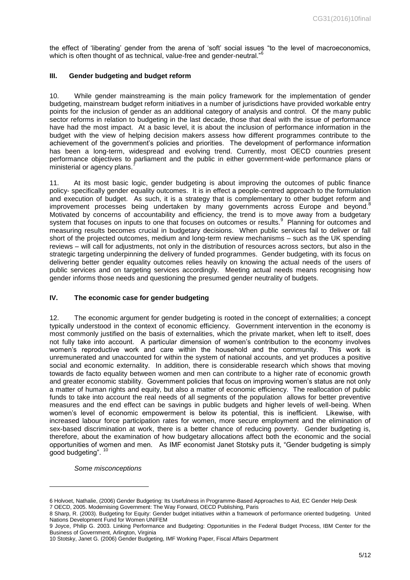the effect of 'liberating' gender from the arena of 'soft' social issues "to the level of macroeconomics, which is often thought of as technical, value-free and gender-neutral."<sup>6</sup>

### <span id="page-4-0"></span>**III. Gender budgeting and budget reform**

10. While gender mainstreaming is the main policy framework for the implementation of gender budgeting, mainstream budget reform initiatives in a number of jurisdictions have provided workable entry points for the inclusion of gender as an additional category of analysis and control. Of the many public sector reforms in relation to budgeting in the last decade, those that deal with the issue of performance have had the most impact. At a basic level, it is about the inclusion of performance information in the budget with the view of helping decision makers assess how different programmes contribute to the achievement of the government's policies and priorities. The development of performance information has been a long-term, widespread and evolving trend. Currently, most OECD countries present performance objectives to parliament and the public in either government-wide performance plans or ministerial or agency plans.<sup>7</sup>

11. At its most basic logic, gender budgeting is about improving the outcomes of public finance policy- specifically gender equality outcomes. It is in effect a people-centred approach to the formulation and execution of budget. As such, it is a strategy that is complementary to other budget reform and improvement processes being undertaken by many governments across Europe and beyond.<sup>8</sup> Motivated by concerns of accountability and efficiency, the trend is to move away from a budgetary system that focuses on inputs to one that focuses on outcomes or results.<sup>9</sup> Planning for outcomes and measuring results becomes crucial in budgetary decisions. When public services fail to deliver or fall short of the projected outcomes, medium and long-term review mechanisms – such as the UK spending reviews – will call for adjustments, not only in the distribution of resources across sectors, but also in the strategic targeting underpinning the delivery of funded programmes. Gender budgeting, with its focus on delivering better gender equality outcomes relies heavily on knowing the actual needs of the users of public services and on targeting services accordingly. Meeting actual needs means recognising how gender informs those needs and questioning the presumed gender neutrality of budgets.

#### <span id="page-4-1"></span>**IV. The economic case for gender budgeting**

12. The economic argument for gender budgeting is rooted in the concept of externalities; a concept typically understood in the context of economic efficiency. Government intervention in the economy is most commonly justified on the basis of externalities, which the private market, when left to itself, does not fully take into account. A particular dimension of women's contribution to the economy involves women's reproductive work and care within the household and the community. This work is unremunerated and unaccounted for within the system of national accounts, and yet produces a positive social and economic externality. In addition, there is considerable research which shows that moving towards de facto equality between women and men can contribute to a higher rate of economic growth and greater economic stability. Government policies that focus on improving women's status are not only a matter of human rights and equity, but also a matter of economic efficiency. The reallocation of public funds to take into account the real needs of all segments of the population allows for better preventive measures and the end effect can be savings in public budgets and higher levels of well-being. When women's level of economic empowerment is below its potential, this is inefficient. Likewise, with increased labour force participation rates for women, more secure employment and the elimination of sex-based discrimination at work, there is a better chance of reducing poverty. Gender budgeting is, therefore, about the examination of how budgetary allocations affect both the economic and the social opportunities of women and men. As IMF economist Janet Stotsky puts it, "Gender budgeting is simply good budgeting".

*Some misconceptions* 

-

<sup>6</sup> Holvoet, Nathalie, (2006) Gender Budgeting: Its Usefulness in Programme-Based Approaches to Aid, EC Gender Help Desk 7 OECD, 2005. Modernising Government: The Way Forward, OECD Publishing, Paris

<sup>8</sup> Sharp, R. (2003). Budgeting for Equity: Gender budget initiatives within a framework of performance oriented budgeting. United Nations Development Fund for Women UNIFEM

<sup>9</sup> Joyce, Philip G. 2003. Linking Performance and Budgeting: Opportunities in the Federal Budget Process, IBM Center for the Business of Government, Arlington, Virginia

<sup>10</sup> Stotsky, Janet G. (2006) Gender Budgeting, IMF Working Paper, Fiscal Affairs Department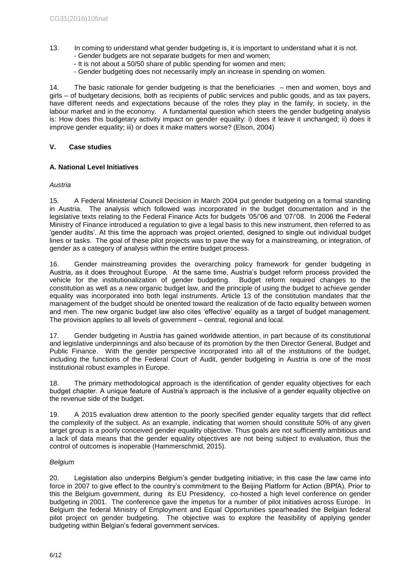- 13. In coming to understand what gender budgeting is, it is important to understand what it is not.
	- Gender budgets are not separate budgets for men and women;
	- It is not about a 50/50 share of public spending for women and men;
	- Gender budgeting does not necessarily imply an increase in spending on women.

14. The basic rationale for gender budgeting is that the beneficiaries – men and women, boys and girls – of budgetary decisions, both as recipients of public services and public goods, and as tax payers, have different needs and expectations because of the roles they play in the family, in society, in the labour market and in the economy. A fundamental question which steers the gender budgeting analysis is: How does this budgetary activity impact on gender equality: i) does it leave it unchanged; ii) does it improve gender equality; iii) or does it make matters worse? (Elson, 2004)

# <span id="page-5-0"></span>**V. Case studies**

# <span id="page-5-1"></span>**A. National Level Initiatives**

# *Austria*

15. A Federal Ministerial Council Decision in March 2004 put gender budgeting on a formal standing in Austria. The analysis which followed was incorporated in the budget documentation and in the legislative texts relating to the Federal Finance Acts for budgets '05/'06 and '07/'08. In 2006 the Federal Ministry of Finance introduced a regulation to give a legal basis to this new instrument, then referred to as 'gender audits'. At this time the approach was project oriented, designed to single out individual budget lines or tasks. The goal of these pilot projects was to pave the way for a mainstreaming, or integration, of gender as a category of analysis within the entire budget process.

16. Gender mainstreaming provides the overarching policy framework for gender budgeting in Austria, as it does throughout Europe. At the same time, Austria's budget reform process provided the vehicle for the institutionalization of gender budgeting. Budget reform required changes to the constitution as well as a new organic budget law, and the principle of using the budget to achieve gender equality was incorporated into both legal instruments. Article 13 of the constitution mandates that the management of the budget should be oriented toward the realization of de facto equality between women and men. The new organic budget law also cites 'effective' equality as a target of budget management. The provision applies to all levels of government – central, regional and local.

17. Gender budgeting in Austria has gained worldwide attention, in part because of its constitutional and legislative underpinnings and also because of its promotion by the then Director General, Budget and Public Finance. With the gender perspective incorporated into all of the institutions of the budget, including the functions of the Federal Court of Audit, gender budgeting in Austria is one of the most institutional robust examples in Europe.

18. The primary methodological approach is the identification of gender equality objectives for each budget chapter. A unique feature of Austria's approach is the inclusive of a gender equality objective on the revenue side of the budget.

19. A 2015 evaluation drew attention to the poorly specified gender equality targets that did reflect the complexity of the subject. As an example, indicating that women should constitute 50% of any given target group is a poorly conceived gender equality objective. Thus goals are not sufficiently ambitious and a lack of data means that the gender equality objectives are not being subject to evaluation, thus the control of outcomes is inoperable (Hammerschmid, 2015).

# *Belgium*

20. Legislation also underpins Belgium's gender budgeting initiative; in this case the law came into force in 2007 to give effect to the country's commitment to the Beijing Platform for Action (BPfA). Prior to this the Belgium government, during its EU Presidency, co-hosted a high level conference on gender budgeting in 2001. The conference gave the impetus for a number of pilot initiatives across Europe. In Belgium the federal Ministry of Employment and Equal Opportunities spearheaded the Belgian federal pilot project on gender budgeting. The objective was to explore the feasibility of applying gender budgeting within Belgian's federal government services.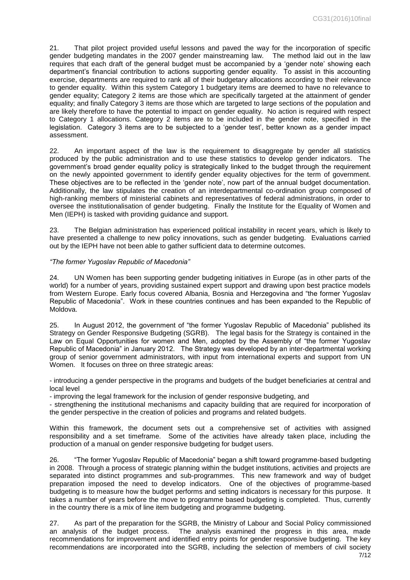21. That pilot project provided useful lessons and paved the way for the incorporation of specific gender budgeting mandates in the 2007 gender mainstreaming law. The method laid out in the law requires that each draft of the general budget must be accompanied by a 'gender note' showing each department's financial contribution to actions supporting gender equality. To assist in this accounting exercise, departments are required to rank all of their budgetary allocations according to their relevance to gender equality. Within this system Category 1 budgetary items are deemed to have no relevance to gender equality; Category 2 items are those which are specifically targeted at the attainment of gender equality; and finally Category 3 items are those which are targeted to large sections of the population and are likely therefore to have the potential to impact on gender equality. No action is required with respect to Category 1 allocations. Category 2 items are to be included in the gender note, specified in the legislation. Category 3 items are to be subjected to a 'gender test', better known as a gender impact assessment.

22. An important aspect of the law is the requirement to disaggregate by gender all statistics produced by the public administration and to use these statistics to develop gender indicators. The government's broad gender equality policy is strategically linked to the budget through the requirement on the newly appointed government to identify gender equality objectives for the term of government. These objectives are to be reflected in the 'gender note', now part of the annual budget documentation. Additionally, the law stipulates the creation of an interdepartmental co-ordination group composed of high-ranking members of ministerial cabinets and representatives of federal administrations, in order to oversee the institutionalisation of gender budgeting. Finally the Institute for the Equality of Women and Men (IEPH) is tasked with providing guidance and support.

23. The Belgian administration has experienced political instability in recent years, which is likely to have presented a challenge to new policy innovations, such as gender budgeting. Evaluations carried out by the IEPH have not been able to gather sufficient data to determine outcomes.

#### *"The former Yugoslav Republic of Macedonia"*

24. UN Women has been supporting gender budgeting initiatives in Europe (as in other parts of the world) for a number of years, providing sustained expert support and drawing upon best practice models from Western Europe. Early focus covered Albania, Bosnia and Herzegovina and "the former Yugoslav Republic of Macedonia". Work in these countries continues and has been expanded to the Republic of Moldova.

25. In August 2012, the government of "the former Yugoslav Republic of Macedonia" published its Strategy on Gender Responsive Budgeting (SGRB). The legal basis for the Strategy is contained in the Law on Equal Opportunities for women and Men, adopted by the Assembly of "the former Yugoslav Republic of Macedonia" in January 2012. The Strategy was developed by an inter-departmental working group of senior government administrators, with input from international experts and support from UN Women. It focuses on three on three strategic areas:

- introducing a gender perspective in the programs and budgets of the budget beneficiaries at central and local level

- improving the legal framework for the inclusion of gender responsive budgeting, and

- strengthening the institutional mechanisms and capacity building that are required for incorporation of the gender perspective in the creation of policies and programs and related budgets.

Within this framework, the document sets out a comprehensive set of activities with assigned responsibility and a set timeframe. Some of the activities have already taken place, including the production of a manual on gender responsive budgeting for budget users.

26. "The former Yugoslav Republic of Macedonia" began a shift toward programme-based budgeting in 2008. Through a process of strategic planning within the budget institutions, activities and projects are separated into distinct programmes and sub-programmes. This new framework and way of budget preparation imposed the need to develop indicators. One of the objectives of programme-based budgeting is to measure how the budget performs and setting indicators is necessary for this purpose. It takes a number of years before the move to programme based budgeting is completed. Thus, currently in the country there is a mix of line item budgeting and programme budgeting.

27. As part of the preparation for the SGRB, the Ministry of Labour and Social Policy commissioned an analysis of the budget process. The analysis examined the progress in this area, made recommendations for improvement and identified entry points for gender responsive budgeting. The key recommendations are incorporated into the SGRB, including the selection of members of civil society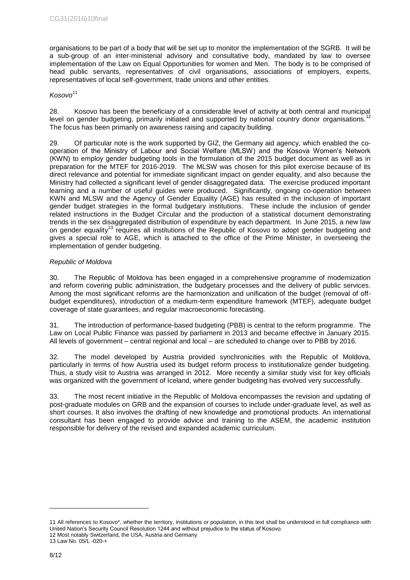organisations to be part of a body that will be set up to monitor the implementation of the SGRB. It will be a sub-group of an inter-ministerial advisory and consultative body, mandated by law to oversee implementation of the Law on Equal Opportunities for women and Men. The body is to be comprised of head public servants, representatives of civil organisations, associations of employers, experts, representatives of local self-government, trade unions and other entities.

#### *Kosovo*<sup>11</sup>

28. Kosovo has been the beneficiary of a considerable level of activity at both central and municipal level on gender budgeting, primarily initiated and supported by national country donor organisations.<sup>12</sup> The focus has been primarily on awareness raising and capacity building.

29. Of particular note is the work supported by GIZ, the Germany aid agency, which enabled the cooperation of the Ministry of Labour and Social Welfare (MLSW) and the Kosova Women's Network (KWN) to employ gender budgeting tools in the formulation of the 2015 budget document as well as in preparation for the MTEF for 2016-2019. The MLSW was chosen for this pilot exercise because of its direct relevance and potential for immediate significant impact on gender equality, and also because the Ministry had collected a significant level of gender disaggregated data. The exercise produced important learning and a number of useful guides were produced. Significantly, ongoing co-operation between KWN and MLSW and the Agency of Gender Equality (AGE) has resulted in the inclusion of important gender budget strategies in the formal budgetary institutions. These include the inclusion of gender related instructions in the Budget Circular and the production of a statistical document demonstrating trends in the sex disaggregated distribution of expenditure by each department. In June 2015, a new law on gender equality<sup>13</sup> requires all institutions of the Republic of Kosovo to adopt gender budgeting and gives a special role to AGE, which is attached to the office of the Prime Minister, in overseeing the implementation of gender budgeting.

#### *Republic of Moldova*

30. The Republic of Moldova has been engaged in a comprehensive programme of modernization and reform covering public administration, the budgetary processes and the delivery of public services. Among the most significant reforms are the harmonization and unification of the budget (removal of offbudget expenditures), introduction of a medium-term expenditure framework (MTEF), adequate budget coverage of state guarantees, and regular macroeconomic forecasting.

31. The introduction of performance-based budgeting (PBB) is central to the reform programme. The Law on Local Public Finance was passed by parliament in 2013 and became effective in January 2015. All levels of government – central regional and local – are scheduled to change over to PBB by 2016.

32. The model developed by Austria provided synchronicities with the Republic of Moldova, particularly in terms of how Austria used its budget reform process to institutionalize gender budgeting. Thus, a study visit to Austria was arranged in 2012. More recently a similar study visit for key officials was organized with the government of Iceland, where gender budgeting has evolved very successfully.

33. The most recent initiative in the Republic of Moldova encompasses the revision and updating of post-graduate modules on GRB and the expansion of courses to include under-graduate level, as well as short courses. It also involves the drafting of new knowledge and promotional products. An international consultant has been engaged to provide advice and training to the ASEM, the academic institution responsible for delivery of the revised and expanded academic curriculum.

-

<sup>11</sup> All references to Kosovo\*, whether the territory, institutions or population, in this text shall be understood in full compliance with United Nation's Security Council Resolution 1244 and without prejudice to the status of Kosovo. 12 Most notably Switzerland, the USA, Austria and Germany

<sup>13</sup> Law No. 05/L -020-+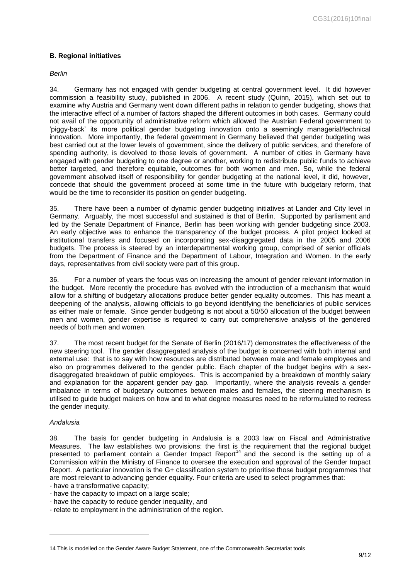# <span id="page-8-0"></span>**B. Regional initiatives**

*Berlin*

34. Germany has not engaged with gender budgeting at central government level. It did however commission a feasibility study, published in 2006. A recent study (Quinn, 2015), which set out to examine why Austria and Germany went down different paths in relation to gender budgeting, shows that the interactive effect of a number of factors shaped the different outcomes in both cases. Germany could not avail of the opportunity of administrative reform which allowed the Austrian Federal government to 'piggy-back' its more political gender budgeting innovation onto a seemingly managerial/technical innovation. More importantly, the federal government in Germany believed that gender budgeting was best carried out at the lower levels of government, since the delivery of public services, and therefore of spending authority, is devolved to those levels of government. A number of cities in Germany have engaged with gender budgeting to one degree or another, working to redistribute public funds to achieve better targeted, and therefore equitable, outcomes for both women and men. So, while the federal government absolved itself of responsibility for gender budgeting at the national level, it did, however, concede that should the government proceed at some time in the future with budgetary reform, that would be the time to reconsider its position on gender budgeting.

35. There have been a number of dynamic gender budgeting initiatives at Lander and City level in Germany. Arguably, the most successful and sustained is that of Berlin. Supported by parliament and led by the Senate Department of Finance, Berlin has been working with gender budgeting since 2003. An early objective was to enhance the transparency of the budget process. A pilot project looked at institutional transfers and focused on incorporating sex-disaggregated data in the 2005 and 2006 budgets. The process is steered by an interdepartmental working group, comprised of senior officials from the Department of Finance and the Department of Labour, Integration and Women. In the early days, representatives from civil society were part of this group.

36. For a number of years the focus was on increasing the amount of gender relevant information in the budget. More recently the procedure has evolved with the introduction of a mechanism that would allow for a shifting of budgetary allocations produce better gender equality outcomes. This has meant a deepening of the analysis, allowing officials to go beyond identifying the beneficiaries of public services as either male or female. Since gender budgeting is not about a 50/50 allocation of the budget between men and women, gender expertise is required to carry out comprehensive analysis of the gendered needs of both men and women.

37. The most recent budget for the Senate of Berlin (2016/17) demonstrates the effectiveness of the new steering tool. The gender disaggregated analysis of the budget is concerned with both internal and external use: that is to say with how resources are distributed between male and female employees and also on programmes delivered to the gender public. Each chapter of the budget begins with a sexdisaggregated breakdown of public employees. This is accompanied by a breakdown of monthly salary and explanation for the apparent gender pay gap. Importantly, where the analysis reveals a gender imbalance in terms of budgetary outcomes between males and females, the steering mechanism is utilised to guide budget makers on how and to what degree measures need to be reformulated to redress the gender inequity.

#### *Andalusia*

1

38. The basis for gender budgeting in Andalusia is a 2003 law on Fiscal and Administrative Measures. The law establishes two provisions: the first is the requirement that the regional budget presented to parliament contain a Gender Impact Report<sup>14</sup> and the second is the setting up of a Commission within the Ministry of Finance to oversee the execution and approval of the Gender Impact Report. A particular innovation is the G+ classification system to prioritise those budget programmes that are most relevant to advancing gender equality. Four criteria are used to select programmes that:

- have a transformative capacity;

- have the capacity to impact on a large scale;
- have the capacity to reduce gender inequality, and
- relate to employment in the administration of the region.

<sup>14</sup> This is modelled on the Gender Aware Budget Statement, one of the Commonwealth Secretariat tools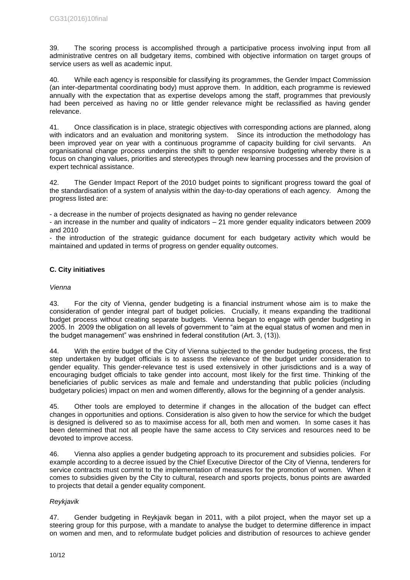39. The scoring process is accomplished through a participative process involving input from all administrative centres on all budgetary items, combined with objective information on target groups of service users as well as academic input.

40. While each agency is responsible for classifying its programmes, the Gender Impact Commission (an inter-departmental coordinating body) must approve them. In addition, each programme is reviewed annually with the expectation that as expertise develops among the staff, programmes that previously had been perceived as having no or little gender relevance might be reclassified as having gender relevance.

41. Once classification is in place, strategic objectives with corresponding actions are planned, along with indicators and an evaluation and monitoring system. Since its introduction the methodology has been improved year on year with a continuous programme of capacity building for civil servants. An organisational change process underpins the shift to gender responsive budgeting whereby there is a focus on changing values, priorities and stereotypes through new learning processes and the provision of expert technical assistance.

42. The Gender Impact Report of the 2010 budget points to significant progress toward the goal of the standardisation of a system of analysis within the day-to-day operations of each agency. Among the progress listed are:

- a decrease in the number of projects designated as having no gender relevance

- an increase in the number and quality of indicators – 21 more gender equality indicators between 2009 and 2010

- the introduction of the strategic guidance document for each budgetary activity which would be maintained and updated in terms of progress on gender equality outcomes.

# <span id="page-9-0"></span>**C. City initiatives**

### *Vienna*

43. For the city of Vienna, gender budgeting is a financial instrument whose aim is to make the consideration of gender integral part of budget policies. Crucially, it means expanding the traditional budget process without creating separate budgets. Vienna began to engage with gender budgeting in 2005. In 2009 the obligation on all levels of government to "aim at the equal status of women and men in the budget management" was enshrined in federal constitution (Art. 3, (13)).

44. With the entire budget of the City of Vienna subjected to the gender budgeting process, the first step undertaken by budget officials is to assess the relevance of the budget under consideration to gender equality. This gender-relevance test is used extensively in other jurisdictions and is a way of encouraging budget officials to take gender into account, most likely for the first time. Thinking of the beneficiaries of public services as male and female and understanding that public policies (including budgetary policies) impact on men and women differently, allows for the beginning of a gender analysis.

45. Other tools are employed to determine if changes in the allocation of the budget can effect changes in opportunities and options. Consideration is also given to how the service for which the budget is designed is delivered so as to maximise access for all, both men and women. In some cases it has been determined that not all people have the same access to City services and resources need to be devoted to improve access.

46. Vienna also applies a gender budgeting approach to its procurement and subsidies policies. For example according to a decree issued by the Chief Executive Director of the City of Vienna, tenderers for service contracts must commit to the implementation of measures for the promotion of women. When it comes to subsidies given by the City to cultural, research and sports projects, bonus points are awarded to projects that detail a gender equality component.

# *Reykjavik*

47. Gender budgeting in Reykjavik began in 2011, with a pilot project, when the mayor set up a steering group for this purpose, with a mandate to analyse the budget to determine difference in impact on women and men, and to reformulate budget policies and distribution of resources to achieve gender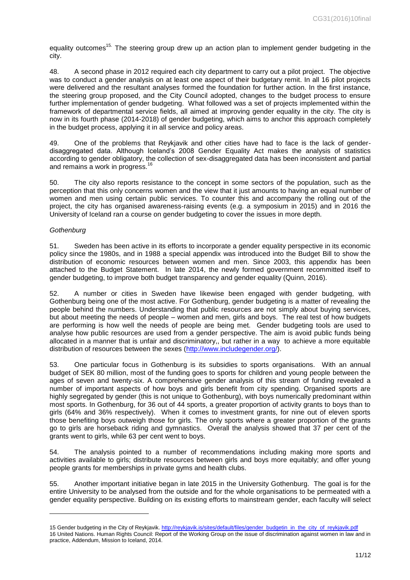equality outcomes<sup>15.</sup> The steering group drew up an action plan to implement gender budgeting in the city.

48. A second phase in 2012 required each city department to carry out a pilot project. The objective was to conduct a gender analysis on at least one aspect of their budgetary remit. In all 16 pilot projects were delivered and the resultant analyses formed the foundation for further action. In the first instance, the steering group proposed, and the City Council adopted, changes to the budget process to ensure further implementation of gender budgeting. What followed was a set of projects implemented within the framework of departmental service fields, all aimed at improving gender equality in the city. The city is now in its fourth phase (2014-2018) of gender budgeting, which aims to anchor this approach completely in the budget process, applying it in all service and policy areas.

49. One of the problems that Reykjavik and other cities have had to face is the lack of genderdisaggregated data. Although Iceland's 2008 Gender Equality Act makes the analysis of statistics according to gender obligatory, the collection of sex-disaggregated data has been inconsistent and partial and remains a work in progress.<sup>1</sup>

50. The city also reports resistance to the concept in some sectors of the population, such as the perception that this only concerns women and the view that it just amounts to having an equal number of women and men using certain public services. To counter this and accompany the rolling out of the project, the city has organised awareness-raising events (e.g. a symposium in 2015) and in 2016 the University of Iceland ran a course on gender budgeting to cover the issues in more depth.

#### *Gothenburg*

1

51. Sweden has been active in its efforts to incorporate a gender equality perspective in its economic policy since the 1980s, and in 1988 a special appendix was introduced into the Budget Bill to show the distribution of economic resources between women and men. Since 2003, this appendix has been attached to the Budget Statement. In late 2014, the newly formed government recommitted itself to gender budgeting, to improve both budget transparency and gender equality (Quinn, 2016).

52. A number or cities in Sweden have likewise been engaged with gender budgeting, with Gothenburg being one of the most active. For Gothenburg, gender budgeting is a matter of revealing the people behind the numbers. Understanding that public resources are not simply about buying services, but about meeting the needs of people – women and men, girls and boys. The real test of how budgets are performing is how well the needs of people are being met. Gender budgeting tools are used to analyse how public resources are used from a gender perspective. The aim is avoid public funds being allocated in a manner that is unfair and discriminatory,, but rather in a way to achieve a more equitable distribution of resources between the sexes [\(http://www.includegender.org/\)](http://www.includegender.org/).

53. One particular focus in Gothenburg is its subsidies to sports organisations. With an annual budget of SEK 80 million, most of the funding goes to sports for children and young people between the ages of seven and twenty-six. A comprehensive gender analysis of this stream of funding revealed a number of important aspects of how boys and girls benefit from city spending. Organised sports are highly segregated by gender (this is not unique to Gothenburg), with boys numerically predominant within most sports. In Gothenburg, for 36 out of 44 sports, a greater proportion of activity grants to boys than to girls (64% and 36% respectively). When it comes to investment grants, for nine out of eleven sports those benefiting boys outweigh those for girls. The only sports where a greater proportion of the grants go to girls are horseback riding and gymnastics. Overall the analysis showed that 37 per cent of the grants went to girls, while 63 per cent went to boys.

54. The analysis pointed to a number of recommendations including making more sports and activities available to girls; distribute resources between girls and boys more equitably; and offer young people grants for memberships in private gyms and health clubs.

55. Another important initiative began in late 2015 in the University Gothenburg. The goal is for the entire University to be analysed from the outside and for the whole organisations to be permeated with a gender equality perspective. Building on its existing efforts to mainstream gender, each faculty will select

<sup>15</sup> Gender budgeting in the City of Reykjavik. [http://reykjavik.is/sites/default/files/gender\\_budgetin\\_in\\_the\\_city\\_of\\_reykjavik.pdf](http://reykjavik.is/sites/default/files/gender_budgetin_in_the_city_of_reykjavik.pdf) 16 United Nations. Human Rights Council: Report of the Working Group on the issue of discrimination against women in law and in practice, Addendum, Mission to Iceland, 2014.